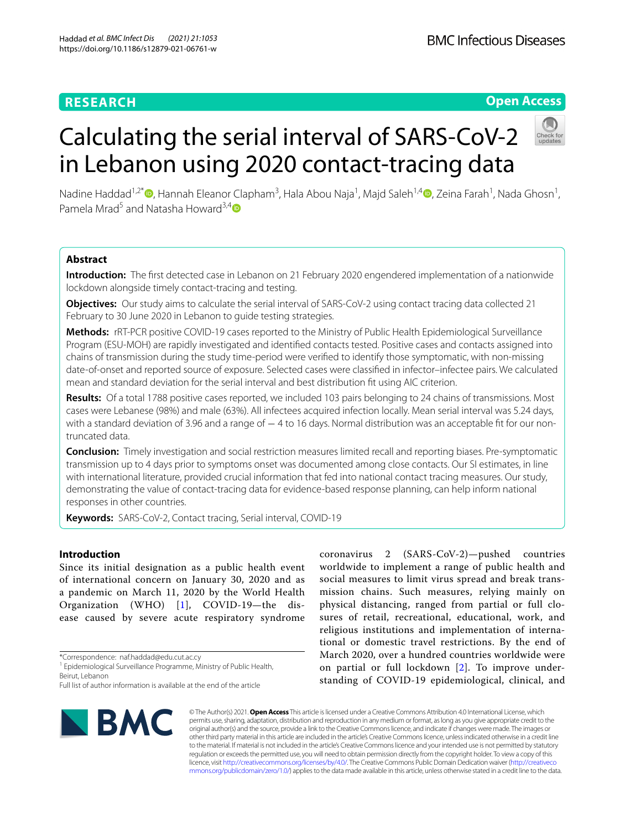# **RESEARCH**

# **Open Access**



# Calculating the serial interval of SARS-CoV-2 in Lebanon using 2020 contact-tracing data

Nadine Haddad<sup>1,2\*</sup>®[,](http://orcid.org/0000-0002-1222-9705) Hannah Eleanor Clapham<sup>3</sup>, Hala Abou Naja<sup>1</sup>, Majd Saleh<sup>1,4</sup>®, Zeina Farah<sup>1</sup>, Nada Ghosn<sup>1</sup>, Pamela Mrad<sup>5</sup> and Natasha Howard<sup>3,[4](http://orcid.org/0000-0003-4174-7349)</sup>

# **Abstract**

**Introduction:** The frst detected case in Lebanon on 21 February 2020 engendered implementation of a nationwide lockdown alongside timely contact-tracing and testing.

**Objectives:** Our study aims to calculate the serial interval of SARS-CoV-2 using contact tracing data collected 21 February to 30 June 2020 in Lebanon to quide testing strategies.

**Methods:** rRT-PCR positive COVID-19 cases reported to the Ministry of Public Health Epidemiological Surveillance Program (ESU-MOH) are rapidly investigated and identifed contacts tested. Positive cases and contacts assigned into chains of transmission during the study time-period were verifed to identify those symptomatic, with non-missing date-of-onset and reported source of exposure. Selected cases were classifed in infector–infectee pairs. We calculated mean and standard deviation for the serial interval and best distribution ft using AIC criterion.

**Results:** Of a total 1788 positive cases reported, we included 103 pairs belonging to 24 chains of transmissions. Most cases were Lebanese (98%) and male (63%). All infectees acquired infection locally. Mean serial interval was 5.24 days, with a standard deviation of 3.96 and a range of − 4 to 16 days. Normal distribution was an acceptable fit for our nontruncated data.

**Conclusion:** Timely investigation and social restriction measures limited recall and reporting biases. Pre-symptomatic transmission up to 4 days prior to symptoms onset was documented among close contacts. Our SI estimates, in line with international literature, provided crucial information that fed into national contact tracing measures. Our study, demonstrating the value of contact-tracing data for evidence-based response planning, can help inform national responses in other countries.

**Keywords:** SARS-CoV-2, Contact tracing, Serial interval, COVID-19

## **Introduction**

Since its initial designation as a public health event of international concern on January 30, 2020 and as a pandemic on March 11, 2020 by the World Health Organization (WHO) [[1\]](#page-5-0), COVID-19—the disease caused by severe acute respiratory syndrome

\*Correspondence: naf.haddad@edu.cut.ac.cy

Full list of author information is available at the end of the article



coronavirus 2 (SARS-CoV-2)—pushed countries worldwide to implement a range of public health and social measures to limit virus spread and break transmission chains. Such measures, relying mainly on physical distancing, ranged from partial or full closures of retail, recreational, educational, work, and religious institutions and implementation of international or domestic travel restrictions. By the end of March 2020, over a hundred countries worldwide were on partial or full lockdown [[2\]](#page-5-1). To improve understanding of COVID-19 epidemiological, clinical, and

© The Author(s) 2021. **Open Access** This article is licensed under a Creative Commons Attribution 4.0 International License, which permits use, sharing, adaptation, distribution and reproduction in any medium or format, as long as you give appropriate credit to the original author(s) and the source, provide a link to the Creative Commons licence, and indicate if changes were made. The images or other third party material in this article are included in the article's Creative Commons licence, unless indicated otherwise in a credit line to the material. If material is not included in the article's Creative Commons licence and your intended use is not permitted by statutory regulation or exceeds the permitted use, you will need to obtain permission directly from the copyright holder. To view a copy of this licence, visit [http://creativecommons.org/licenses/by/4.0/.](http://creativecommons.org/licenses/by/4.0/) The Creative Commons Public Domain Dedication waiver ([http://creativeco](http://creativecommons.org/publicdomain/zero/1.0/) [mmons.org/publicdomain/zero/1.0/](http://creativecommons.org/publicdomain/zero/1.0/)) applies to the data made available in this article, unless otherwise stated in a credit line to the data.

<sup>&</sup>lt;sup>1</sup> Epidemiological Surveillance Programme, Ministry of Public Health, Beirut, Lebanon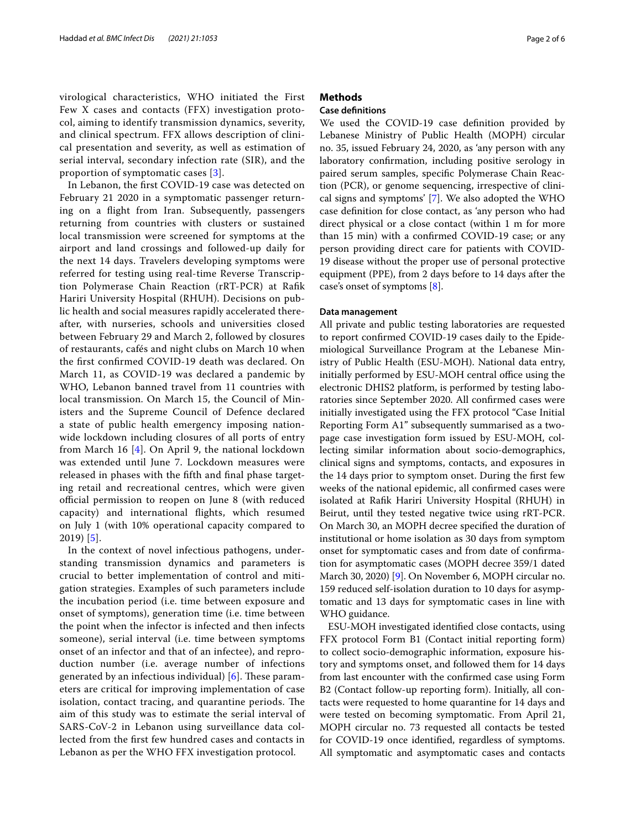virological characteristics, WHO initiated the First Few X cases and contacts (FFX) investigation protocol, aiming to identify transmission dynamics, severity, and clinical spectrum. FFX allows description of clinical presentation and severity, as well as estimation of serial interval, secondary infection rate (SIR), and the proportion of symptomatic cases [[3](#page-5-2)].

In Lebanon, the frst COVID-19 case was detected on February 21 2020 in a symptomatic passenger returning on a fight from Iran. Subsequently, passengers returning from countries with clusters or sustained local transmission were screened for symptoms at the airport and land crossings and followed-up daily for the next 14 days. Travelers developing symptoms were referred for testing using real-time Reverse Transcription Polymerase Chain Reaction (rRT-PCR) at Rafk Hariri University Hospital (RHUH). Decisions on public health and social measures rapidly accelerated thereafter, with nurseries, schools and universities closed between February 29 and March 2, followed by closures of restaurants, cafés and night clubs on March 10 when the frst confrmed COVID-19 death was declared. On March 11, as COVID-19 was declared a pandemic by WHO, Lebanon banned travel from 11 countries with local transmission. On March 15, the Council of Ministers and the Supreme Council of Defence declared a state of public health emergency imposing nationwide lockdown including closures of all ports of entry from March 16 [[4\]](#page-5-3). On April 9, the national lockdown was extended until June 7. Lockdown measures were released in phases with the fifth and final phase targeting retail and recreational centres, which were given official permission to reopen on June 8 (with reduced capacity) and international fights, which resumed on July 1 (with 10% operational capacity compared to 2019) [[5](#page-5-4)].

In the context of novel infectious pathogens, understanding transmission dynamics and parameters is crucial to better implementation of control and mitigation strategies. Examples of such parameters include the incubation period (i.e. time between exposure and onset of symptoms), generation time (i.e. time between the point when the infector is infected and then infects someone), serial interval (i.e. time between symptoms onset of an infector and that of an infectee), and reproduction number (i.e. average number of infections generated by an infectious individual)  $[6]$  $[6]$ . These parameters are critical for improving implementation of case isolation, contact tracing, and quarantine periods. The aim of this study was to estimate the serial interval of SARS-CoV-2 in Lebanon using surveillance data collected from the frst few hundred cases and contacts in Lebanon as per the WHO FFX investigation protocol.

## **Methods**

## **Case defnitions**

We used the COVID-19 case definition provided by Lebanese Ministry of Public Health (MOPH) circular no. 35, issued February 24, 2020, as 'any person with any laboratory confrmation, including positive serology in paired serum samples, specifc Polymerase Chain Reaction (PCR), or genome sequencing, irrespective of clinical signs and symptoms' [[7\]](#page-5-6). We also adopted the WHO case defnition for close contact, as 'any person who had direct physical or a close contact (within 1 m for more than 15 min) with a confrmed COVID-19 case; or any person providing direct care for patients with COVID-19 disease without the proper use of personal protective equipment (PPE), from 2 days before to 14 days after the case's onset of symptoms [\[8](#page-5-7)].

## **Data management**

All private and public testing laboratories are requested to report confrmed COVID-19 cases daily to the Epidemiological Surveillance Program at the Lebanese Ministry of Public Health (ESU-MOH). National data entry, initially performed by ESU-MOH central office using the electronic DHIS2 platform, is performed by testing laboratories since September 2020. All confrmed cases were initially investigated using the FFX protocol "Case Initial Reporting Form A1" subsequently summarised as a twopage case investigation form issued by ESU-MOH, collecting similar information about socio-demographics, clinical signs and symptoms, contacts, and exposures in the 14 days prior to symptom onset. During the frst few weeks of the national epidemic, all confrmed cases were isolated at Rafk Hariri University Hospital (RHUH) in Beirut, until they tested negative twice using rRT-PCR. On March 30, an MOPH decree specifed the duration of institutional or home isolation as 30 days from symptom onset for symptomatic cases and from date of confrmation for asymptomatic cases (MOPH decree 359/1 dated March 30, 2020) [[9\]](#page-5-8). On November 6, MOPH circular no. 159 reduced self-isolation duration to 10 days for asymptomatic and 13 days for symptomatic cases in line with WHO guidance.

ESU-MOH investigated identifed close contacts, using FFX protocol Form B1 (Contact initial reporting form) to collect socio-demographic information, exposure history and symptoms onset, and followed them for 14 days from last encounter with the confrmed case using Form B2 (Contact follow-up reporting form). Initially, all contacts were requested to home quarantine for 14 days and were tested on becoming symptomatic. From April 21, MOPH circular no. 73 requested all contacts be tested for COVID-19 once identifed, regardless of symptoms. All symptomatic and asymptomatic cases and contacts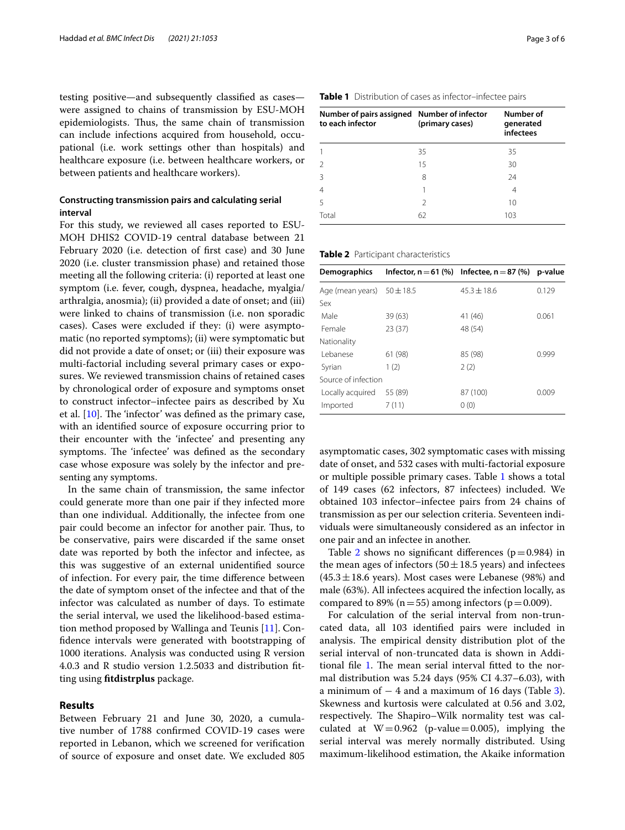testing positive—and subsequently classifed as cases were assigned to chains of transmission by ESU-MOH epidemiologists. Thus, the same chain of transmission can include infections acquired from household, occupational (i.e. work settings other than hospitals) and healthcare exposure (i.e. between healthcare workers, or between patients and healthcare workers).

## **Constructing transmission pairs and calculating serial interval**

For this study, we reviewed all cases reported to ESU-MOH DHIS2 COVID-19 central database between 21 February 2020 (i.e. detection of frst case) and 30 June 2020 (i.e. cluster transmission phase) and retained those meeting all the following criteria: (i) reported at least one symptom (i.e. fever, cough, dyspnea, headache, myalgia/ arthralgia, anosmia); (ii) provided a date of onset; and (iii) were linked to chains of transmission (i.e. non sporadic cases). Cases were excluded if they: (i) were asymptomatic (no reported symptoms); (ii) were symptomatic but did not provide a date of onset; or (iii) their exposure was multi-factorial including several primary cases or exposures. We reviewed transmission chains of retained cases by chronological order of exposure and symptoms onset to construct infector–infectee pairs as described by Xu et al.  $[10]$  $[10]$ . The 'infector' was defined as the primary case, with an identifed source of exposure occurring prior to their encounter with the 'infectee' and presenting any symptoms. The 'infectee' was defined as the secondary case whose exposure was solely by the infector and presenting any symptoms.

In the same chain of transmission, the same infector could generate more than one pair if they infected more than one individual. Additionally, the infectee from one pair could become an infector for another pair. Thus, to be conservative, pairs were discarded if the same onset date was reported by both the infector and infectee, as this was suggestive of an external unidentifed source of infection. For every pair, the time diference between the date of symptom onset of the infectee and that of the infector was calculated as number of days. To estimate the serial interval, we used the likelihood-based estimation method proposed by Wallinga and Teunis [[11\]](#page-5-10). Confdence intervals were generated with bootstrapping of 1000 iterations. Analysis was conducted using R version 4.0.3 and R studio version 1.2.5033 and distribution ftting using **ftdistrplus** package.

## **Results**

Between February 21 and June 30, 2020, a cumulative number of 1788 confrmed COVID-19 cases were reported in Lebanon, which we screened for verifcation of source of exposure and onset date. We excluded 805

| Number of pairs assigned Number of infector<br>to each infector | (primary cases) | Number of<br>generated<br>infectees |  |
|-----------------------------------------------------------------|-----------------|-------------------------------------|--|
|                                                                 | 35              | 35                                  |  |
| 2                                                               | 15              | 30                                  |  |
| 3                                                               | 8               | 24                                  |  |
| 4                                                               |                 |                                     |  |
|                                                                 |                 |                                     |  |

<span id="page-2-1"></span>

|  |  | Table 2 Participant characteristics |
|--|--|-------------------------------------|
|--|--|-------------------------------------|

| Demographics                   |         | Infector, $n = 61$ (%) Infectee, $n = 87$ (%) | p-value |
|--------------------------------|---------|-----------------------------------------------|---------|
| Age (mean years) $50 \pm 18.5$ |         | $45.3 \pm 18.6$                               | 0.129   |
| Sex                            |         |                                               |         |
| Male                           | 39(63)  | 41 (46)                                       | 0.061   |
| Female                         | 23(37)  | 48 (54)                                       |         |
| Nationality                    |         |                                               |         |
| I ebanese                      | 61 (98) | 85 (98)                                       | 0.999   |
| Syrian                         | 1(2)    | 2(2)                                          |         |
| Source of infection            |         |                                               |         |
| Locally acquired               | 55 (89) | 87 (100)                                      | 0.009   |
| Imported                       | 7(11)   | 0(0)                                          |         |

asymptomatic cases, 302 symptomatic cases with missing date of onset, and 532 cases with multi-factorial exposure or multiple possible primary cases. Table [1](#page-2-0) shows a total of 149 cases (62 infectors, 87 infectees) included. We obtained 103 infector–infectee pairs from 24 chains of transmission as per our selection criteria. Seventeen individuals were simultaneously considered as an infector in one pair and an infectee in another.

Table [2](#page-2-1) shows no significant differences ( $p=0.984$ ) in the mean ages of infectors (50 $\pm$ 18.5 years) and infectees  $(45.3 \pm 18.6 \text{ years})$ . Most cases were Lebanese (98%) and male (63%). All infectees acquired the infection locally, as compared to 89% ( $n=55$ ) among infectors ( $p=0.009$ ).

For calculation of the serial interval from non-truncated data, all 103 identifed pairs were included in analysis. The empirical density distribution plot of the serial interval of non-truncated data is shown in Addi-tional file [1](#page-4-0). The mean serial interval fitted to the normal distribution was 5.24 days (95% CI 4.37–6.03), with a minimum of  $-4$  and a maximum of 16 days (Table [3](#page-3-0)). Skewness and kurtosis were calculated at 0.56 and 3.02, respectively. The Shapiro–Wilk normality test was calculated at  $W=0.962$  (p-value=0.005), implying the serial interval was merely normally distributed. Using maximum-likelihood estimation, the Akaike information

### <span id="page-2-0"></span>**Table 1** Distribution of cases as infector–infectee pairs

5 2 10 Total 62 103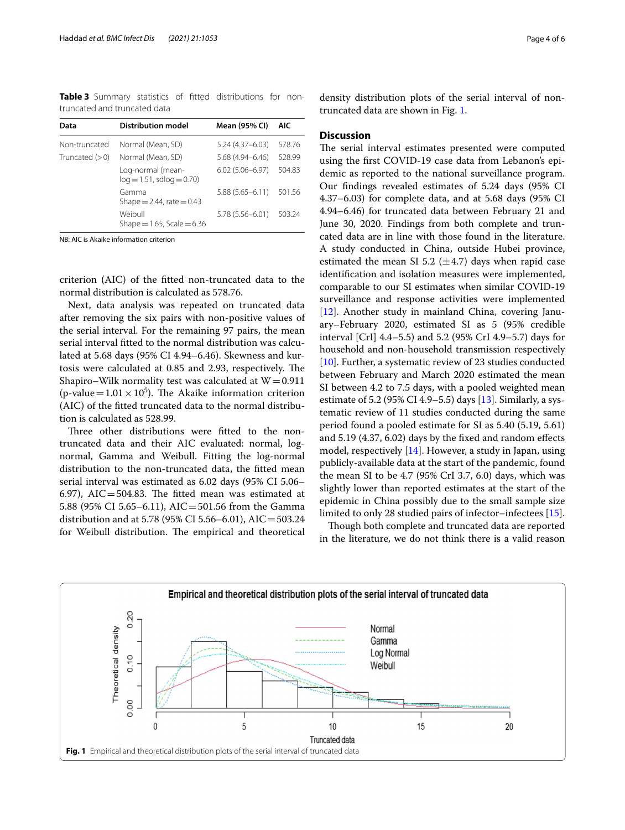<span id="page-3-0"></span>**Table 3** Summary statistics of ftted distributions for nontruncated and truncated data

| Data             | <b>Distribution model</b>                         | Mean (95% CI)       | AIC    |
|------------------|---------------------------------------------------|---------------------|--------|
| Non-truncated    | Normal (Mean, SD)                                 | $5.24(4.37 - 6.03)$ | 578.76 |
| Truncated $(>0)$ | Normal (Mean, SD)                                 | 5.68 (4.94-6.46)    | 528.99 |
|                  | Log-normal (mean-<br>$log = 1.51$ , sdlog = 0.70) | $6.02(5.06 - 6.97)$ | 504.83 |
|                  | Gamma<br>Shape = $2.44$ , rate = 0.43             | $5.88(5.65 - 6.11)$ | 501.56 |
|                  | Weibull<br>Shape = $1.65$ , Scale = $6.36$        | $5.78(5.56 - 6.01)$ | 503.24 |

NB: AIC is Akaike information criterion

criterion (AIC) of the ftted non-truncated data to the normal distribution is calculated as 578.76.

Next, data analysis was repeated on truncated data after removing the six pairs with non-positive values of the serial interval. For the remaining 97 pairs, the mean serial interval fitted to the normal distribution was calculated at 5.68 days (95% CI 4.94–6.46). Skewness and kurtosis were calculated at 0.85 and 2.93, respectively. The Shapiro–Wilk normality test was calculated at  $W=0.911$ (p-value =  $1.01 \times 10^5$ ). The Akaike information criterion (AIC) of the ftted truncated data to the normal distribution is calculated as 528.99.

Three other distributions were fitted to the nontruncated data and their AIC evaluated: normal, lognormal, Gamma and Weibull. Fitting the log-normal distribution to the non-truncated data, the ftted mean serial interval was estimated as 6.02 days (95% CI 5.06– 6.97), AIC=504.83. The fitted mean was estimated at 5.88 (95% CI 5.65–6.11), AIC=501.56 from the Gamma distribution and at 5.78 (95% CI 5.56–6.01), AIC=503.24 for Weibull distribution. The empirical and theoretical density distribution plots of the serial interval of nontruncated data are shown in Fig. [1](#page-3-1).

## **Discussion**

The serial interval estimates presented were computed using the frst COVID-19 case data from Lebanon's epidemic as reported to the national surveillance program. Our fndings revealed estimates of 5.24 days (95% CI 4.37–6.03) for complete data, and at 5.68 days (95% CI 4.94–6.46) for truncated data between February 21 and June 30, 2020. Findings from both complete and truncated data are in line with those found in the literature. A study conducted in China, outside Hubei province, estimated the mean SI 5.2 ( $\pm$ 4.7) days when rapid case identifcation and isolation measures were implemented, comparable to our SI estimates when similar COVID-19 surveillance and response activities were implemented [[12\]](#page-5-11). Another study in mainland China, covering January–February 2020, estimated SI as 5 (95% credible interval [CrI] 4.4–5.5) and 5.2 (95% CrI 4.9–5.7) days for household and non-household transmission respectively [[10\]](#page-5-9). Further, a systematic review of 23 studies conducted between February and March 2020 estimated the mean SI between 4.2 to 7.5 days, with a pooled weighted mean estimate of 5.2 (95% CI 4.9–5.5) days [[13](#page-5-12)]. Similarly, a systematic review of 11 studies conducted during the same period found a pooled estimate for SI as 5.40 (5.19, 5.61) and 5.19 (4.37, 6.02) days by the fxed and random efects model, respectively [\[14\]](#page-5-13). However, a study in Japan, using publicly-available data at the start of the pandemic, found the mean SI to be 4.7 (95% CrI 3.7, 6.0) days, which was slightly lower than reported estimates at the start of the epidemic in China possibly due to the small sample size limited to only 28 studied pairs of infector–infectees [\[15](#page-5-14)].

Though both complete and truncated data are reported in the literature, we do not think there is a valid reason

<span id="page-3-1"></span>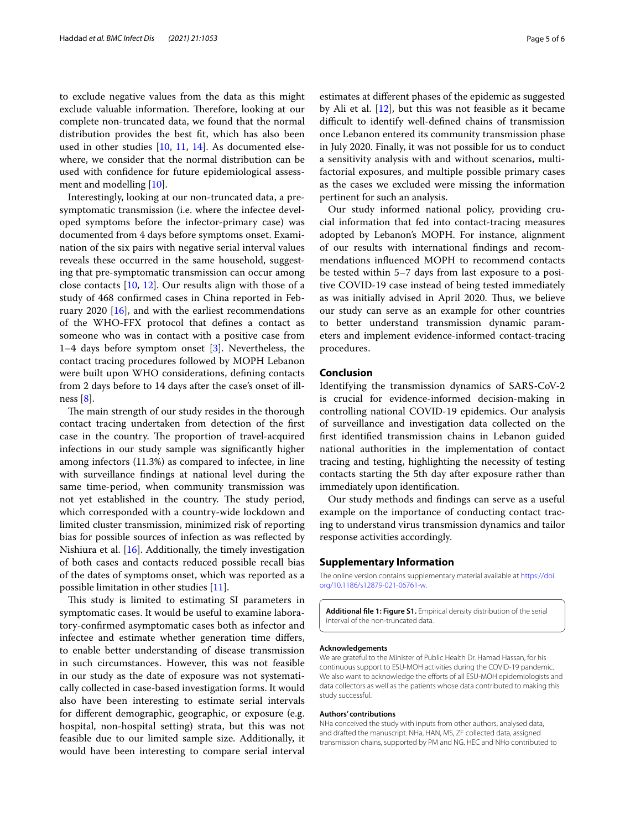to exclude negative values from the data as this might exclude valuable information. Therefore, looking at our complete non-truncated data, we found that the normal distribution provides the best ft, which has also been used in other studies [[10,](#page-5-9) [11](#page-5-10), [14](#page-5-13)]. As documented elsewhere, we consider that the normal distribution can be used with confdence for future epidemiological assessment and modelling [\[10](#page-5-9)].

Interestingly, looking at our non-truncated data, a presymptomatic transmission (i.e. where the infectee developed symptoms before the infector-primary case) was documented from 4 days before symptoms onset. Examination of the six pairs with negative serial interval values reveals these occurred in the same household, suggesting that pre-symptomatic transmission can occur among close contacts [\[10,](#page-5-9) [12](#page-5-11)]. Our results align with those of a study of 468 confrmed cases in China reported in February 2020 [[16](#page-5-15)], and with the earliest recommendations of the WHO-FFX protocol that defnes a contact as someone who was in contact with a positive case from 1–4 days before symptom onset [[3\]](#page-5-2). Nevertheless, the contact tracing procedures followed by MOPH Lebanon were built upon WHO considerations, defning contacts from 2 days before to 14 days after the case's onset of illness [[8\]](#page-5-7).

The main strength of our study resides in the thorough contact tracing undertaken from detection of the frst case in the country. The proportion of travel-acquired infections in our study sample was signifcantly higher among infectors (11.3%) as compared to infectee, in line with surveillance fndings at national level during the same time-period, when community transmission was not yet established in the country. The study period, which corresponded with a country-wide lockdown and limited cluster transmission, minimized risk of reporting bias for possible sources of infection as was refected by Nishiura et al. [[16\]](#page-5-15). Additionally, the timely investigation of both cases and contacts reduced possible recall bias of the dates of symptoms onset, which was reported as a possible limitation in other studies [\[11](#page-5-10)].

This study is limited to estimating SI parameters in symptomatic cases. It would be useful to examine laboratory-confrmed asymptomatic cases both as infector and infectee and estimate whether generation time difers, to enable better understanding of disease transmission in such circumstances. However, this was not feasible in our study as the date of exposure was not systematically collected in case-based investigation forms. It would also have been interesting to estimate serial intervals for diferent demographic, geographic, or exposure (e.g. hospital, non-hospital setting) strata, but this was not feasible due to our limited sample size. Additionally, it would have been interesting to compare serial interval estimates at diferent phases of the epidemic as suggested by Ali et al.  $[12]$  $[12]$ , but this was not feasible as it became difficult to identify well-defined chains of transmission once Lebanon entered its community transmission phase in July 2020. Finally, it was not possible for us to conduct a sensitivity analysis with and without scenarios, multifactorial exposures, and multiple possible primary cases as the cases we excluded were missing the information pertinent for such an analysis.

Our study informed national policy, providing crucial information that fed into contact-tracing measures adopted by Lebanon's MOPH. For instance, alignment of our results with international fndings and recommendations infuenced MOPH to recommend contacts be tested within 5–7 days from last exposure to a positive COVID-19 case instead of being tested immediately as was initially advised in April 2020. Thus, we believe our study can serve as an example for other countries to better understand transmission dynamic parameters and implement evidence-informed contact-tracing procedures.

## **Conclusion**

Identifying the transmission dynamics of SARS-CoV-2 is crucial for evidence-informed decision-making in controlling national COVID-19 epidemics. Our analysis of surveillance and investigation data collected on the frst identifed transmission chains in Lebanon guided national authorities in the implementation of contact tracing and testing, highlighting the necessity of testing contacts starting the 5th day after exposure rather than immediately upon identifcation.

Our study methods and fndings can serve as a useful example on the importance of conducting contact tracing to understand virus transmission dynamics and tailor response activities accordingly.

## **Supplementary Information**

The online version contains supplementary material available at [https://doi.](https://doi.org/10.1186/s12879-021-06761-w) [org/10.1186/s12879-021-06761-w.](https://doi.org/10.1186/s12879-021-06761-w)

<span id="page-4-0"></span>**Additional fle 1: Figure S1.** Empirical density distribution of the serial interval of the non-truncated data.

#### **Acknowledgements**

We are grateful to the Minister of Public Health Dr. Hamad Hassan, for his continuous support to ESU-MOH activities during the COVID-19 pandemic. We also want to acknowledge the efforts of all ESU-MOH epidemiologists and data collectors as well as the patients whose data contributed to making this study successful.

#### **Authors' contributions**

NHa conceived the study with inputs from other authors, analysed data, and drafted the manuscript. NHa, HAN, MS, ZF collected data, assigned transmission chains, supported by PM and NG. HEC and NHo contributed to